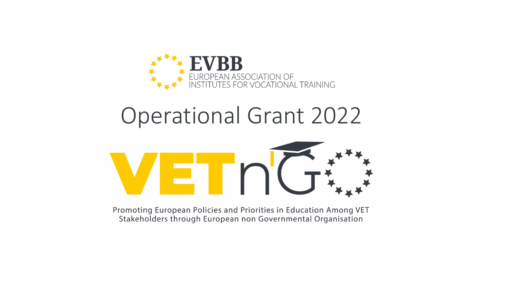

# Operational Grant 2022



Promoting European Policies and Priorities in Education Among VET Stakeholders through European non Governmental Organisation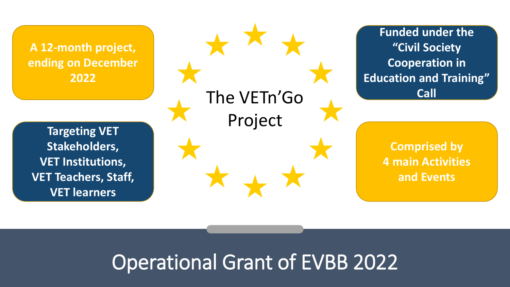**A 12-month project, ending on December 2022**

The VETn'Go Project

**Funded under the "Civil Society Cooperation in Education and Training" Call**

**Comprised by** 

**4 main Activities** 

**and Events**

**Targeting VET Stakeholders, VET Institutions, VET Teachers, Staff, VET learners**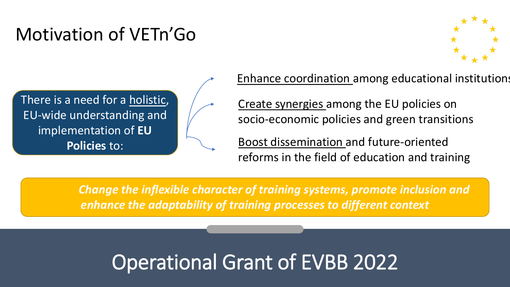#### Motivation of VETn'Go



There is a need for a holistic, EU-wide understanding and implementation of **EU Policies** to:

Enhance coordination among educational institutions

Create synergies among the EU policies on socio-economic policies and green transitions

Boost dissemination and future-oriented reforms in the field of education and training

*Change the inflexible character of training systems, promote inclusion and enhance the adaptability of training processes to different context*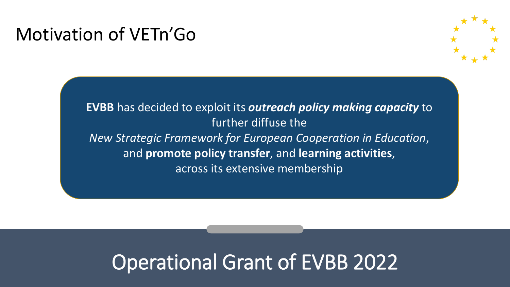#### Motivation of VETn'Go



**EVBB** has decided to exploit its *outreach policy making capacity* to further diffuse the *New Strategic Framework for European Cooperation in Education*, and **promote policy transfer**, and **learning activities**, across its extensive membership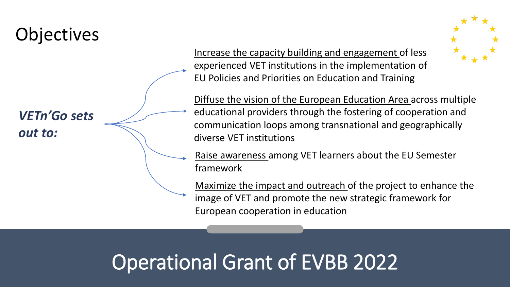#### **Objectives**

*VETn'Go sets out to:*

Increase the capacity building and engagement of less experienced VET institutions in the implementation of EU Policies and Priorities on Education and Training



Diffuse the vision of the European Education Area across multiple educational providers through the fostering of cooperation and communication loops among transnational and geographically diverse VET institutions

Raise awareness among VET learners about the EU Semester framework

Maximize the impact and outreach of the project to enhance the image of VET and promote the new strategic framework for European cooperation in education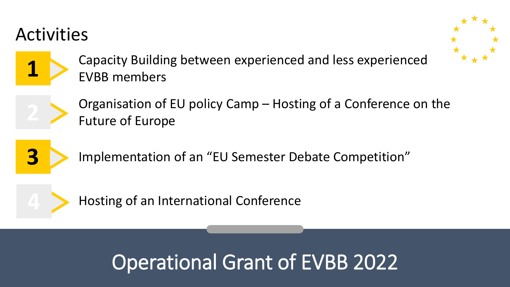#### Activities





**1** Capacity Building between experienced and less experienced EVBB members



Organisation of EU policy Camp – Hosting of a Conference on the Future of Europe



**3** Implementation of an "EU Semester Debate Competition"



Hosting of an International Conference